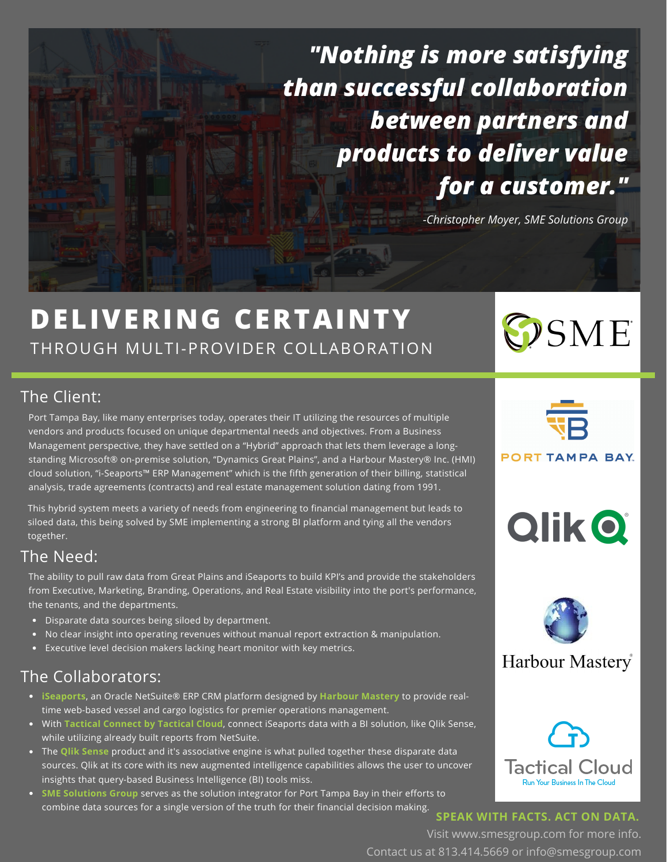*"Nothing is more satisfying than successful collaboration between partners and products to deliver value for a customer."*

*-Christopher Moyer, SME Solutions Group*

## **DELIVERING CERTAINTY** THROUGH MULTI-PROVIDER COLLABORATION

#### The Client:

Port Tampa Bay, like many enterprises today, operates their IT utilizing the resources of multiple vendors and products focused on unique departmental needs and objectives. From a Business Management perspective, they have settled on a "Hybrid" approach that lets them leverage a longstanding Microsoft® on-premise solution, "Dynamics Great Plains", and a Harbour Mastery® Inc. (HMI) cloud solution, "i-Seaports™ ERP Management" which is the fifth generation of their billing, statistical analysis, trade agreements (contracts) and real estate management solution dating from 1991.

This hybrid system meets a variety of needs from engineering to financial management but leads to siloed data, this being solved by SME implementing a strong BI platform and tying all the vendors together.

#### The Need:

The ability to pull raw data from Great Plains and iSeaports to build KPI's and provide the stakeholders from Executive, Marketing, Branding, Operations, and Real Estate visibility into the port's performance, the tenants, and the departments.

- Disparate data sources being siloed by department.
- No clear insight into operating revenues without manual report extraction & manipulation.
- Executive level decision makers lacking heart monitor with key metrics.

#### The Collaborators:

- **iSeaports**, an Oracle NetSuite® ERP CRM platform designed by **Harbour Mastery** to provide realtime web-based vessel and cargo logistics for premier operations management.
- With **Tactical Connect by Tactical Cloud**, connect iSeaports data with a BI solution, like Qlik Sense, while utilizing already built reports from NetSuite.
- The **Qlik Sense** product and it's associative engine is what pulled together these disparate data sources. Qlik at its core with its new augmented intelligence capabilities allows the user to uncover insights that query-based Business Intelligence (BI) tools miss.
- **SME Solutions Group** serves as the solution integrator for Port Tampa Bay in their efforts to combine data sources for a single version of the truth for their financial decision making.



OSME

**PORT TAMPA BAY.** 









**SPEAK WITH FACTS. ACT ON DATA.**

Visit www.smesgroup.com for more info. Contact us at 813.414.5669 or info@smesgroup.com